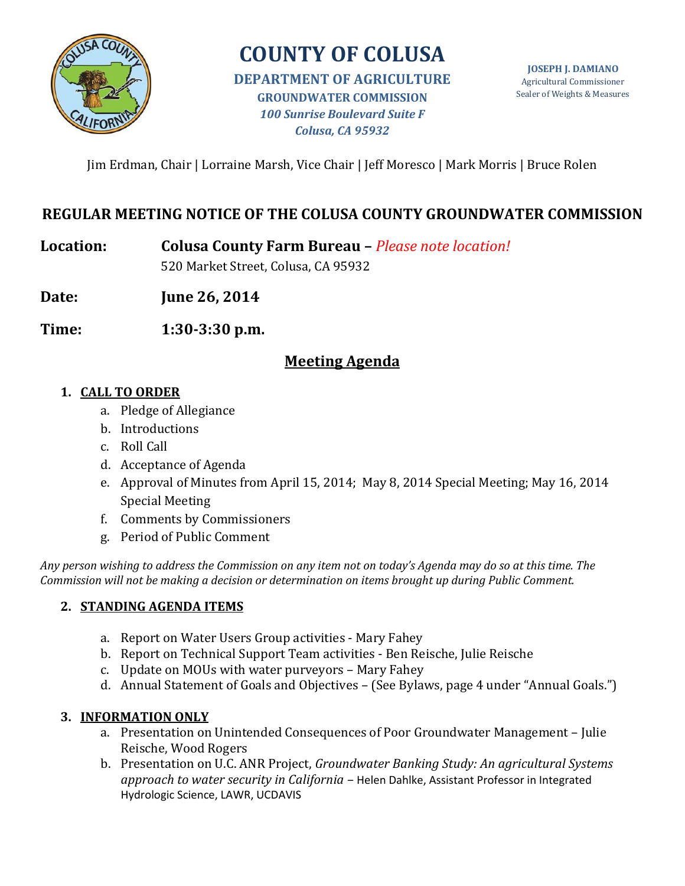

# **COUNTY OF COLUSA**

**DEPARTMENT OF AGRICULTURE GROUNDWATER COMMISSION** *100 Sunrise Boulevard Suite F Colusa, CA 95932*

**JOSEPH J. DAMIANO** Agricultural Commissioner Sealer of Weights & Measures

Jim Erdman, Chair | Lorraine Marsh, Vice Chair | Jeff Moresco | Mark Morris | Bruce Rolen

# **REGULAR MEETING NOTICE OF THE COLUSA COUNTY GROUNDWATER COMMISSION**

**Location: Colusa County Farm Bureau –** *Please note location!*

520 Market Street, Colusa, CA 95932

**Date: June 26, 2014**

**Time: 1:30-3:30 p.m.**

## **Meeting Agenda**

#### **1. CALL TO ORDER**

- a. Pledge of Allegiance
- b. Introductions
- c. Roll Call
- d. Acceptance of Agenda
- e. Approval of Minutes from April 15, 2014; May 8, 2014 Special Meeting; May 16, 2014 Special Meeting
- f. Comments by Commissioners
- g. Period of Public Comment

*Any person wishing to address the Commission on any item not on today's Agenda may do so at this time. The Commission will not be making a decision or determination on items brought up during Public Comment.*

## **2. STANDING AGENDA ITEMS**

- a. Report on Water Users Group activities Mary Fahey
- b. Report on Technical Support Team activities Ben Reische, Julie Reische
- c. Update on MOUs with water purveyors Mary Fahey
- d. Annual Statement of Goals and Objectives (See Bylaws, page 4 under "Annual Goals.")

## **3. INFORMATION ONLY**

- a. Presentation on Unintended Consequences of Poor Groundwater Management Julie Reische, Wood Rogers
- b. Presentation on U.C. ANR Project, *Groundwater Banking Study: An agricultural Systems approach to water security in California –* Helen Dahlke, Assistant Professor in Integrated Hydrologic Science, LAWR, UCDAVIS